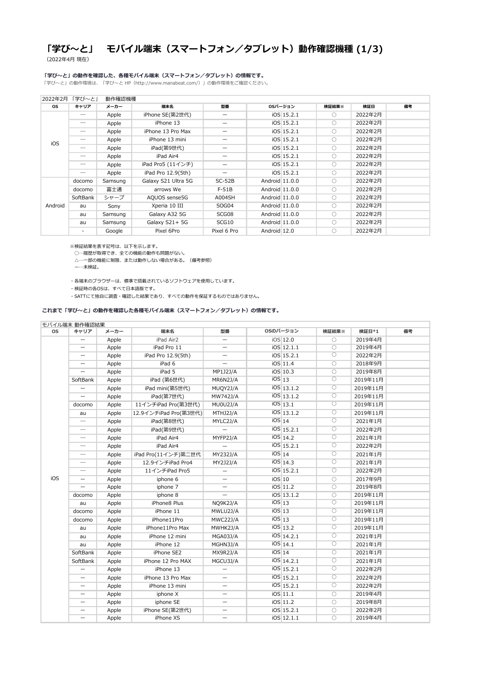# **「学び~と」 モバイル端末(スマートフォン/タブレット)動作確認機種 (1/3)**

(2022年4月 現在)

### **「学び~と」の動作を確認した、各種モバイル端末(スマートフォン/タブレット)の情報です。**

「学び~と」の動作環境は、「学び~と HP(http://www.manabeat.com/)」の動作環境をご確認ください。

※検証結果を表す記号は、以下を示します。

◯…履歴が取得でき、全ての機能の動作も問題がない。

△…一部の機能に制限、または動作しない場合がある。(備考参照)

ー…未検証。

・各端末のブラウザーは、標準で搭載されているソフトウェアを使用しています。

・検証時の各OSは、すべて日本語版です。

・SATTにて独自に調査・確認した結果であり、すべての動作を保証するものではありません。

### **これまで「学び~と」の動作を確認した各種モバイル端末(スマートフォン/タブレット)の情報です。**

| 2022年2月 | 「学び〜と」   | 動作確認機種  |                     |             |                |              |            |         |    |
|---------|----------|---------|---------------------|-------------|----------------|--------------|------------|---------|----|
| OS.     | キャリア     | メーカー    | 端末名                 | 型番          |                | OSバージョン      | 検証結果※      | 検証日     | 備考 |
| iOS     |          | Apple   | iPhone SE(第2世代)     |             |                | $IOS$ 15.2.1 | $\bigcirc$ | 2022年2月 |    |
|         |          | Apple   | iPhone 13           |             |                | iOS 15.2.1   | $\bigcirc$ | 2022年2月 |    |
|         |          | Apple   | iPhone 13 Pro Max   |             |                | iOS 15.2.1   | $\bigcirc$ | 2022年2月 |    |
|         |          | Apple   | iPhone 13 mini      |             |                | iOS 15.2.1   | $\bigcirc$ | 2022年2月 |    |
|         |          | Apple   | iPad(第9世代)          |             |                | iOS 15.2.1   | $\bigcirc$ | 2022年2月 |    |
|         |          | Apple   | iPad Air4           | —           |                | iOS 15.2.1   | $\bigcirc$ | 2022年2月 |    |
|         |          | Apple   | iPad Pro5 (11インチ)   | —           |                | iOS 15.2.1   | $\bigcirc$ | 2022年2月 |    |
|         |          | Apple   | iPad Pro 12.9(5th)  |             |                | iOS 15.2.1   | $\bigcirc$ | 2022年2月 |    |
| Android | docomo   | Samsung | Galaxy S21 Ultra 5G | $SC-52B$    | Android 11.0.0 |              | $\bigcirc$ | 2022年2月 |    |
|         | docomo   | 富士通     | arrows We           | $F-51B$     | Android 11.0.0 |              | $\bigcirc$ | 2022年2月 |    |
|         | SoftBank | シャープ    | AQUOS sense5G       | A004SH      | Android 11.0.0 |              | $\bigcirc$ | 2022年2月 |    |
|         | au       | Sony    | Xperia 10 III       | SOG04       | Android 11.0.0 |              | $\bigcirc$ | 2022年2月 |    |
|         | au       | Samsung | Galaxy A32 5G       | SCG08       | Android 11.0.0 |              | $\bigcirc$ | 2022年2月 |    |
|         | au       | Samsung | Galaxy S21+ 5G      | SCG10       | Android 11.0.0 |              | $\bigcirc$ | 2022年2月 |    |
|         |          | Google  | Pixel 6Pro          | Pixel 6 Pro | Android 12.0   |              | $\bigcirc$ | 2022年2月 |    |

| <b>OS</b> | キャリア                            | メーカー  | 端末名                   | 型番                       | OSのバージョン |              | 検証結果※                 | 検証日*1    | 備考 |
|-----------|---------------------------------|-------|-----------------------|--------------------------|----------|--------------|-----------------------|----------|----|
|           |                                 | Apple | iPad Air2             |                          |          | iOS 12.0     | $\bigcirc$            | 2019年4月  |    |
|           |                                 | Apple | iPad Pro 11           | $\qquad \qquad$          |          | $IOS$ 12.1.1 | $\bigcirc$            | 2019年4月  |    |
|           |                                 | Apple | iPad Pro 12.9(5th)    | $\overline{\phantom{0}}$ |          | iOS 15.2.1   | $\bigcirc$            | 2022年2月  |    |
|           |                                 | Apple | iPad 6                | —                        |          | iOS 11.4     | $\bigcirc$            | 2018年9月  |    |
|           |                                 | Apple | iPad 5                | MP1J2J/A                 |          | iOS 10.3     | $\bigcirc$            | 2019年8月  |    |
|           | SoftBank                        | Apple | iPad (第6世代)           | MR6N2J/A                 | $IOS$ 13 |              | $\bigcirc$            | 2019年11月 |    |
|           |                                 | Apple | iPad mini(第5世代)       | MUQY2J/A                 |          | $IOS$ 13.1.2 | $\overline{O}$        | 2019年11月 |    |
|           | —                               | Apple | iPad(第7世代)            | MW742J/A                 |          | $IOS$ 13.1.2 | $\bigcirc$            | 2019年11月 |    |
|           | docomo                          | Apple | 11インチiPad Pro(第3世代)   | MU0U2J/A                 |          | $IOS$ 13.1   | $\bigcirc$            | 2019年11月 |    |
|           | au                              | Apple | 12.9インチiPad Pro(第3世代) | MTHJ2J/A                 |          | $IOS$ 13.1.2 | $\overline{O}$        | 2019年11月 |    |
|           | $\hspace{0.1mm}-\hspace{0.1mm}$ | Apple | iPad(第8世代)            | MYLC2J/A                 | $IOS$ 14 |              | $\overline{O}$        | 2021年1月  |    |
|           |                                 | Apple | iPad(第9世代)            |                          |          | $IOS$ 15.2.1 | $\bigcirc$            | 2022年2月  |    |
|           | $\overline{\phantom{0}}$        | Apple | iPad Air4             | MYFP2J/A                 |          | $IOS$ 14.2   | $\overline{\bigcirc}$ | 2021年1月  |    |
| iOS       |                                 | Apple | iPad Air4             |                          |          | $IOS$ 15.2.1 | $\bigcirc$            | 2022年2月  |    |
|           |                                 | Apple | iPad Pro(11インチ)第二世代   | MY232J/A                 | $IOS$ 14 |              | $\overline{\bigcirc}$ | 2021年1月  |    |
|           | $\overline{\phantom{0}}$        | Apple | 12.9インチiPad Pro4      | MY2J2J/A                 |          | $IOS$ 14.3   | $\overline{\bigcirc}$ | 2021年1月  |    |
|           |                                 | Apple | 11インチiPad Pro5        |                          |          | $IOS$ 15.2.1 | $\overline{\bigcirc}$ | 2022年2月  |    |
|           |                                 | Apple | iphone 6              |                          | iOS 10   |              | $\bigcirc$            | 2017年9月  |    |
|           |                                 | Apple | iphone 7              |                          |          | iOS 11.2     | $\bigcirc$            | 2019年8月  |    |
|           | docomo                          | Apple | iphone 8              |                          |          | iOS 13.1.2   | $\bigcirc$            | 2019年11月 |    |
|           | au                              | Apple | iPhone8 Plus          | NQ9K2J/A                 | $IOS$ 13 |              | $\bigcirc$            | 2019年11月 |    |
|           | docomo                          | Apple | iPhone 11             | MWLU2J/A                 | $IOS$ 13 |              | $\bigcirc$            | 2019年11月 |    |
|           | docomo                          | Apple | iPhone11Pro           | MWC22J/A                 | $IOS$ 13 |              | $\overline{\bigcirc}$ | 2019年11月 |    |
|           | au                              | Apple | iPhone11Pro Max       | MWHK2J/A                 |          | iOS 13.2     | $\bigcirc$            | 2019年11月 |    |
|           | au                              | Apple | iPhone 12 mini        | MGA03J/A                 |          | iOS 14.2.1   | $\bigcirc$            | 2021年1月  |    |
|           | au                              | Apple | iPhone 12             | MGHN3J/A                 |          | $IOS$ 14.1   | $\bigcirc$            | 2021年1月  |    |
|           | SoftBank                        | Apple | iPhone SE2            | MX9R2J/A                 | $IOS$ 14 |              | $\bigcirc$            | 2021年1月  |    |
|           | SoftBank                        | Apple | iPhone 12 Pro MAX     | MGCU3J/A                 |          | $IOS$ 14.2.1 | $\bigcirc$            | 2021年1月  |    |
|           |                                 | Apple | iPhone 13             | $\overline{\phantom{0}}$ |          | $IOS$ 15.2.1 | O                     | 2022年2月  |    |
|           |                                 | Apple | iPhone 13 Pro Max     | —                        |          | $IOS$ 15.2.1 | $\bigcirc$            | 2022年2月  |    |
|           |                                 | Apple | iPhone 13 mini        |                          |          | iOS 15.2.1   | $\bigcirc$            | 2022年2月  |    |
|           |                                 | Apple | iphone X              |                          |          | $IOS$ 11.1   | $\bigcirc$            | 2019年4月  |    |
|           |                                 | Apple | iphone SE             | —                        |          | iOS 11.2     | $\bigcirc$            | 2019年8月  |    |
|           |                                 | Apple | iPhone SE(第2世代)       |                          |          | $IOS$ 15.2.1 | $\bigcirc$            | 2022年2月  |    |
|           |                                 | Apple | iPhone XS             |                          |          | $IOS$ 12.1.1 | $\bigcirc$            | 2019年4月  |    |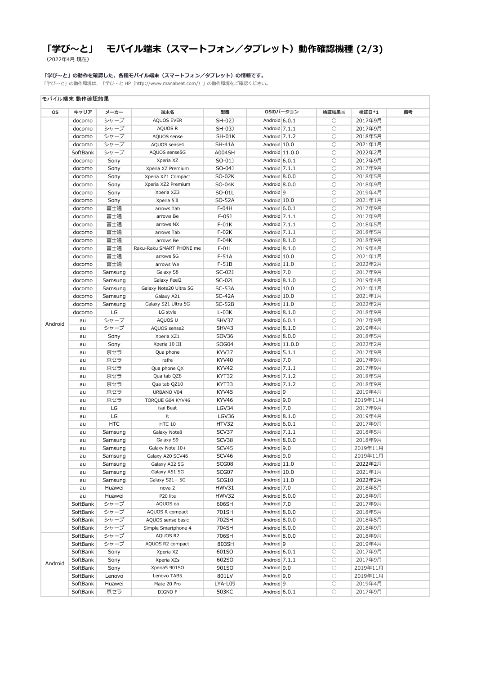# **「学び~と」 モバイル端末(スマートフォン/タブレット)動作確認機種 (2/3)**

(2022年4月 現在)

#### **「学び~と」の動作を確認した、各種モバイル端末(スマートフォン/タブレット)の情報です。**

「学び~と」の動作環境は、「学び~と HP(http://www.manabeat.com/)」の動作環境をご確認ください。

## **OS キャリア メーカー 端末名 型番 検証結果※ 検証日\*1 備考** docomo シャープ AQUOS EVER SH-02J Android 6.0.1 ○ 2017年9月 docomo シャープ AQUOS R SH-03J Android 7.1.1 ○ 2017年9月 docomo │ シャープ │ AQUOS sense │ SH-01K │ Android 7.1.2 │ ○ 2018年5月 docomo シャープ AQUOS sense4 SH-41A Android 10.0 ○ 2021年1月 SoftBank シャープ | AQUOS sense5G | A004SH | Android 11.0.0 | ○ 2022年2月 docomo Sony Xperia XZ SO-01J Android 6.0.1 ○ 2017年9月 docomo Sony Xperia XZ Premium SO-04J Android 7.1.1 ○ 2017年9月 docomo Sony Xperia XZ1 Compact SO-02K Android 8.0.0 ● 3018年5月 docomo Sony Xperia XZ2 Premium SO-04K Android 8.0.0 ● 3018年9月 docomo | Sony | Xperia XZ3 | SO-01L | Android 9 | ○ 2019年4月 docomo | Sony | Xperia 5Ⅱ | SO-52A | Android 10.0 | ○ 2021年1月 docomo 富士通 | arrows Tab | F-04H | Android 6.0.1 | ○ 2017年9月 docomo 富士通 | arrows Be | F-05J | Android 7.1.1 | ○ | 2017年9月 docomo 富士通 arrows NX F-01K Android 7.1.1 ○ 2018年5月 docomo 富士通 arrows Tab F-02K Android 7.1.1 ○ 2018年5月 docomo 富士通 → arrows Be → F-04K → Android 8.1.0 → ○ 2018年9月 docomo 富士通 Raku-Raku SMART PHONE me F-01L Android 8.1.0 ● ○ 2019年4月 docomo | 富士通 | arrows 5G | F-51A | Android 10.0 | ○ | 2021年1月 docomo 富士通 → arrows We → F-51B → Android 11.0 → ○ 2022年2月 docomo | Samsung | Galaxy S8 | SC-02J | Android 7.0 | 2017年9月 docomo | Samsung | Galaxy Feel2 | SC-02L | Android 8.1.0 | ○ 2019年4月 docomo Samsung Galaxy Note20 Ultra 5G SC-53A Android 10.0 ○ 2021年1月 docomo Samsung Galaxy A21 SC-42A Android 10.0 ○ 2021年1月 docomo Samsung Galaxy S21 Ultra 5G SC-52B Android 11.0 (2022年2月 docomo LG LG style L-03K Android 8.1.0 ○ 2018年9月 au シャープ AQUOS U SHV37 Android 6.0.1 ○ 2017年9月 au | シャープ | AQUOS sense2 | SHV43 | Android 8.1.0 | ○ | 2019年4月 au │ Sony │ Xperia XZ1 │ SOV36 │ Android 8.0.0 │ ○ │ 2018年5月 au │ Sony │ Xperia 10 III │ SOG04 │ Android 11.0.0 │ ○ │ 2022年2月 au | 京セラ | Qua phone | KYV37 | Android 5.1.1 | ○ | 2017年9月 au | 京セラ | rafre | KYV40 | Android 7.0 | 2017年9月 au │ 京セラ │ Qua phone QX │ KYV42 │ Android 7.1.1 │ ○ │ 2017年9月 au | 京セラ | Qua tab QZ8 | KYT32 | Android 7.1.2 | ○ 2018年5月 au | 京セラ | Qua tab QZ10 | KYT33 | Android 7.1.2 | ○ 2018年9月 au │ 京セラ │ URBANO V04 │ KYV45 │ Android 9 │ ○ │ 2019年4月 au | 京セラ | TORQUE G04 KYV46 | KYV46 | Android 9.0 | ○ | 2019年11月 au │ LG │ isai Beat │ LGV34 │ Android 7.0 │ ○ 2017年9月 au LG it it LGV36 Android 8.1.0 0 2019年4月 au | HTC | HTC 10 | HTV32 | Android 6.0.1 | ○ 2017年9月 au Samsung Galaxy Note8 SCV37 Android 7.1.1 ○ 2018年5月 au Samsung Galaxy S9 BSCV38 Android 8.0.0 BSC 3018年9月 au Samsung Galaxy Note 10+ SCV45 Android 9.0 | ○ 2019年11月 モバイル端末 動作確認結果 **OSのバージョン** Android

|         | au       | Samsung | Galaxy A20 SCV46    | SCV <sub>46</sub> | Android <sup>9.0</sup>   | 0               | 2019年11月 |  |
|---------|----------|---------|---------------------|-------------------|--------------------------|-----------------|----------|--|
|         | au       | Samsung | Galaxy A32 5G       | SCG08             | Android 11.0             | $\left(\right)$ | 2022年2月  |  |
|         | au       | Samsung | Galaxy A51 5G       | SCG07             | Android 10.0             | O               | 2021年1月  |  |
|         | au       | Samsung | Galaxy S21+ 5G      | SCG10             | Android 11.0             | О               | 2022年2月  |  |
|         | au       | Huawei  | nova 2              | HWV31             | Android <sup>7.0</sup>   | $\bigcirc$      | 2018年5月  |  |
|         | au       | Huawei  | P20 lite            | HWV32             | Android 8.0.0            | $\bigcirc$      | 2018年9月  |  |
|         | SoftBank | シャープ    | AQUOS ea            | 606SH             | Android 7.0              | $\left(\right)$ | 2017年9月  |  |
|         | SoftBank | シャープ    | AQUOS R compact     | 701SH             | Android 8.0.0            | О               | 2018年5月  |  |
|         | SoftBank | シャープ    | AQUOS sense basic   | 702SH             | Android 8.0.0            | 0               | 2018年5月  |  |
|         | SoftBank | シャープ    | Simple Smartphone 4 | 704SH             | Android 8.0.0            | 0               | 2018年9月  |  |
| Android | SoftBank | シャープ    | AQUOS R2            | 706SH             | Android 8.0.0            | О               | 2018年9月  |  |
|         | SoftBank | シャープ    | AQUOS R2 compact    | 803SH             | Android <sup>9</sup>     | О               | 2019年4月  |  |
|         | SoftBank | Sony    | Xperia XZ           | 601SO             | Android 6.0.1            | О               | 2017年9月  |  |
|         | SoftBank | Sony    | Xperia XZs          | 602SO             | Android <sup>7.1.1</sup> | $\bigcirc$      | 2017年9月  |  |
|         | SoftBank | Sony    | Xperia5 901SO       | 901SO             | Android <sup>9.0</sup>   | $\bigcirc$      | 2019年11月 |  |
|         | SoftBank | Lenovo  | Lenovo TAB5         | 801LV             | Android <sup>9.0</sup>   | $\left(\right)$ | 2019年11月 |  |
|         | SoftBank | Huawei  | Mate 20 Pro         | LYA-L09           | Android <sup>9</sup>     | $\left(\right)$ | 2019年4月  |  |
|         | SoftBank | 京セラ     | DIGNO F             | 503KC             | Android 6.0.1            | $\bigcirc$      | 2017年9月  |  |